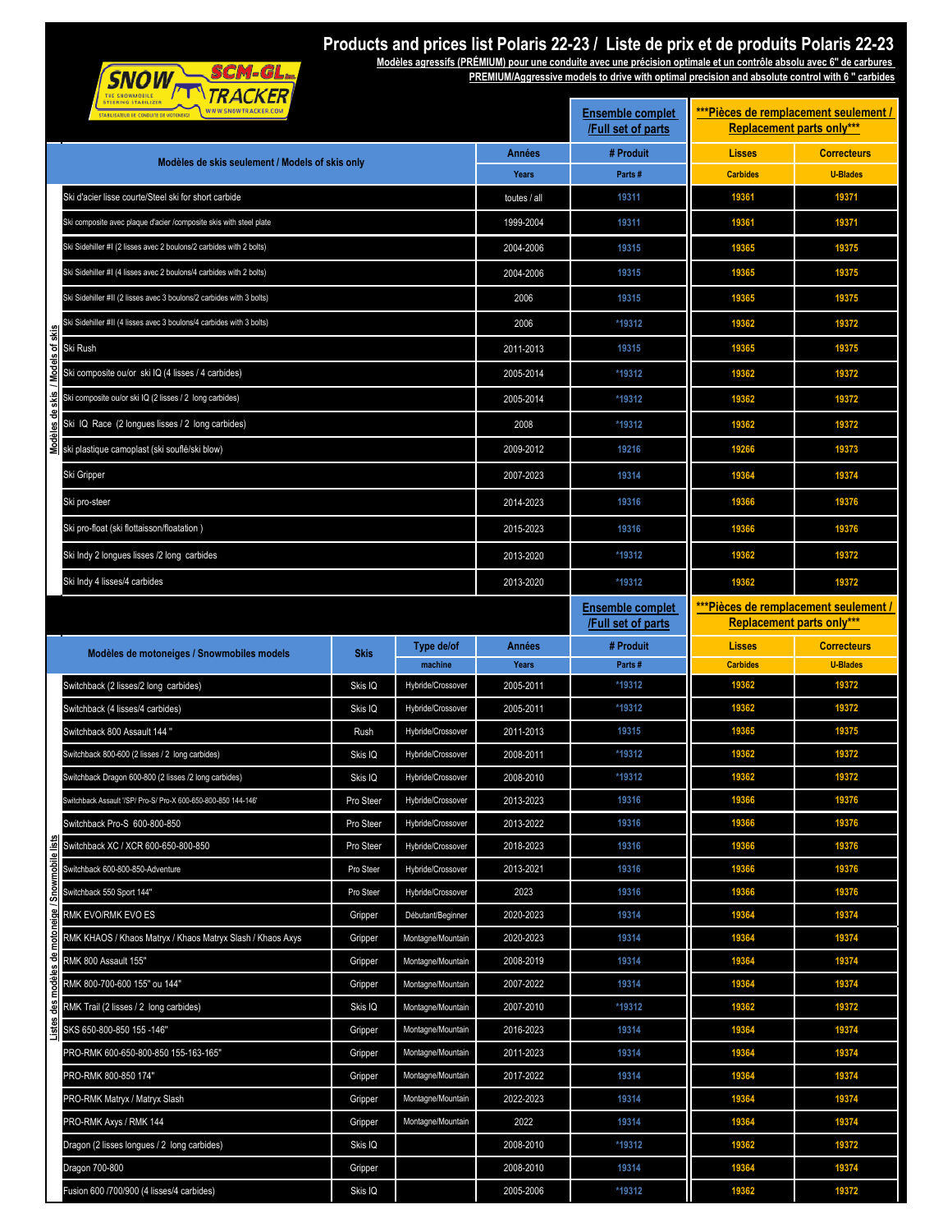| THE SNOWMOBILE<br><b>STEERING STABILIZER</b>             | <i>, ווי</i>               |
|----------------------------------------------------------|----------------------------|
| <b>CONDUITE DE</b><br><b>STABILISATEUR</b><br><b>SDE</b> | CKER.COM<br>SNOW<br>w<br>w |

## **Products and prices list Polaris 22-23 / Liste de prix et de produits Polaris 22-23**

**PREMIUM/Aggressive models to drive with optimal precision and absolute control with 6 '' carbides Modèles agressifs (PRÉMIUM) pour une conduite avec une précision optimale et un contrôle absolu avec 6'' de carbures** 

|                                                                    | \IRACKER<br>HE SNOWMOBILE<br><b>STEERING STABILIZER</b><br>WWW.SNOWTRACKER.COM<br>STABILISATEUR DE CONDUITE DE MOTONEIGE |             |                              | <b>Ensemble complet</b><br>/Full set of parts | ***Pièces de remplacement seulement /<br><b>Replacement parts only***</b> |                          |                                       |
|--------------------------------------------------------------------|--------------------------------------------------------------------------------------------------------------------------|-------------|------------------------------|-----------------------------------------------|---------------------------------------------------------------------------|--------------------------|---------------------------------------|
| Modèles de skis seulement / Models of skis only                    |                                                                                                                          |             |                              | Années                                        | # Produit                                                                 | <b>Lisses</b>            | <b>Correcteurs</b>                    |
|                                                                    |                                                                                                                          | Years       | Parts#                       | <b>Carbides</b>                               | <b>U-Blades</b>                                                           |                          |                                       |
|                                                                    | Ski d'acier lisse courte/Steel ski for short carbide                                                                     |             | toutes / all                 | 19311                                         | 19361                                                                     | 19371                    |                                       |
| Ski composite avec plaque d'acier /composite skis with steel plate |                                                                                                                          |             |                              | 1999-2004                                     | 19311                                                                     | 19361                    | 19371                                 |
|                                                                    | Ski Sidehiller #I (2 lisses avec 2 boulons/2 carbides with 2 bolts)                                                      | 2004-2006   | 19315                        | 19365                                         | 19375                                                                     |                          |                                       |
|                                                                    | Ski Sidehiller #I (4 lisses avec 2 boulons/4 carbides with 2 bolts)                                                      | 2004-2006   | 19315                        | 19365                                         | 19375                                                                     |                          |                                       |
|                                                                    | Ski Sidehiller #II (2 lisses avec 3 boulons/2 carbides with 3 bolts)                                                     | 2006        | 19315                        | 19365                                         | 19375                                                                     |                          |                                       |
|                                                                    | Ski Sidehiller #II (4 lisses avec 3 boulons/4 carbides with 3 bolts)                                                     | 2006        | *19312                       | 19362                                         | 19372                                                                     |                          |                                       |
| itskis                                                             | Ski Rush                                                                                                                 |             | 2011-2013                    | 19315                                         | 19365                                                                     | 19375                    |                                       |
|                                                                    | Ski composite ou/or ski IQ (4 lisses / 4 carbides)                                                                       |             |                              | 2005-2014                                     | *19312                                                                    | 19362                    | 19372                                 |
|                                                                    | Ski composite ou/or ski IQ (2 lisses / 2 long carbides)                                                                  |             |                              | 2005-2014                                     | *19312                                                                    | 19362                    | 19372                                 |
|                                                                    | Ski IQ Race (2 longues lisses / 2 long carbides)                                                                         |             |                              | 2008                                          | *19312                                                                    | 19362                    | 19372                                 |
|                                                                    | ski plastique camoplast (ski souflé/ski blow)                                                                            |             |                              | 2009-2012                                     | 19216                                                                     | 19266                    | 19373                                 |
|                                                                    | Ski Gripper                                                                                                              |             |                              | 2007-2023                                     | 19314                                                                     | 19364                    | 19374                                 |
|                                                                    | Ski pro-steer                                                                                                            |             |                              | 2014-2023                                     | 19316                                                                     | 19366                    | 19376                                 |
|                                                                    | Ski pro-float (ski flottaisson/floatation)                                                                               |             |                              | 2015-2023                                     | 19316                                                                     | 19366                    | 19376                                 |
|                                                                    | Ski Indy 2 longues lisses /2 long carbides                                                                               |             |                              | 2013-2020                                     | *19312                                                                    | 19362                    | 19372                                 |
|                                                                    | Ski Indy 4 lisses/4 carbides                                                                                             |             |                              | 2013-2020                                     | *19312                                                                    | 19362                    | 19372                                 |
|                                                                    |                                                                                                                          |             |                              |                                               | <b>Ensemble complet</b>                                                   |                          | ***Pièces de remplacement seulement / |
|                                                                    |                                                                                                                          |             | /Full set of parts           | <b>Replacement parts only***</b>              |                                                                           |                          |                                       |
|                                                                    | Modèles de motoneiges / Snowmobiles models                                                                               | <b>Skis</b> | Type de/of                   | Années                                        | # Produit                                                                 | <b>Lisses</b>            | <b>Correcteurs</b>                    |
|                                                                    | Switchback (2 lisses/2 long carbides)                                                                                    | Skis IQ     | machine<br>Hybride/Crossover | Years<br>2005-2011                            | Parts#<br>*19312                                                          | <b>Carbides</b><br>19362 | <b>U-Blades</b><br>19372              |
|                                                                    | Switchback (4 lisses/4 carbides)                                                                                         | Skis IQ     | Hybride/Crossover            | 2005-2011                                     | *19312                                                                    | 19362                    | 19372                                 |
|                                                                    | Switchback 800 Assault 144 "                                                                                             | Rush        | Hybride/Crossover            | 2011-2013                                     | 19315                                                                     | 19365                    | 19375                                 |
|                                                                    | Switchback 800-600 (2 lisses / 2 long carbides)                                                                          | Skis IQ     | Hybride/Crossover            | 2008-2011                                     | *19312                                                                    | 19362                    | 19372                                 |
|                                                                    | Switchback Dragon 600-800 (2 lisses /2 long carbides)                                                                    | Skis IQ     | Hybride/Crossover            | 2008-2010                                     | *19312                                                                    | 19362                    | 19372                                 |
|                                                                    | Switchback Assault '/SP/ Pro-S/ Pro-X 600-650-800-850 144-146'                                                           | Pro Steer   | Hybride/Crossover            | 2013-2023                                     | 19316                                                                     | 19366                    | 19376                                 |
|                                                                    | Switchback Pro-S 600-800-850                                                                                             | Pro Steer   | Hybride/Crossover            | 2013-2022                                     | 19316                                                                     | 19366                    | 19376                                 |
|                                                                    | Switchback XC / XCR 600-650-800-850                                                                                      | Pro Steer   | Hybride/Crossover            | 2018-2023                                     | 19316                                                                     | 19366                    | 19376                                 |
|                                                                    | Switchback 600-800-850-Adventure                                                                                         | Pro Steer   | Hybride/Crossover            | 2013-2021                                     | 19316                                                                     | 19366                    | 19376                                 |
|                                                                    | Switchback 550 Sport 144"                                                                                                | Pro Steer   | Hybride/Crossover            | 2023                                          | 19316                                                                     | 19366                    | 19376                                 |
|                                                                    | RMK EVO/RMK EVO ES                                                                                                       | Gripper     | Débutant/Beginner            | 2020-2023                                     | 19314                                                                     | 19364                    | 19374                                 |
|                                                                    | RMK KHAOS / Khaos Matryx / Khaos Matryx Slash / Khaos Axys                                                               | Gripper     | Montagne/Mountain            | 2020-2023                                     | 19314                                                                     | 19364                    | 19374                                 |
|                                                                    | RMK 800 Assault 155"                                                                                                     | Gripper     | Montagne/Mountain            | 2008-2019                                     | 19314                                                                     | 19364                    | 19374                                 |
|                                                                    | RMK 800-700-600 155" ou 144"                                                                                             | Gripper     | Montagne/Mountain            | 2007-2022                                     | 19314                                                                     | 19364                    | 19374                                 |
|                                                                    | RMK Trail (2 lisses / 2 long carbides)                                                                                   | Skis IQ     | Montagne/Mountain            | 2007-2010                                     | *19312                                                                    | 19362                    | 19372                                 |
|                                                                    | SKS 650-800-850 155-146"                                                                                                 | Gripper     | Montagne/Mountain            | 2016-2023                                     | 19314                                                                     | 19364                    | 19374                                 |
|                                                                    | PRO-RMK 600-650-800-850 155-163-165"                                                                                     | Gripper     | Montagne/Mountain            | 2011-2023                                     | 19314                                                                     | 19364                    | 19374                                 |
|                                                                    | PRO-RMK 800-850 174"                                                                                                     | Gripper     | Montagne/Mountain            | 2017-2022                                     | 19314                                                                     | 19364                    | 19374                                 |
|                                                                    | PRO-RMK Matryx / Matryx Slash                                                                                            | Gripper     | Montagne/Mountain            | 2022-2023                                     | 19314                                                                     | 19364                    | 19374                                 |
|                                                                    | PRO-RMK Axys / RMK 144                                                                                                   | Gripper     | Montagne/Mountain            | 2022                                          | 19314                                                                     | 19364                    | 19374                                 |
|                                                                    | Dragon (2 lisses longues / 2 long carbides)                                                                              | Skis IQ     |                              | 2008-2010                                     | *19312                                                                    | 19362                    | 19372                                 |
|                                                                    |                                                                                                                          |             |                              |                                               |                                                                           |                          |                                       |
|                                                                    | Dragon 700-800                                                                                                           | Gripper     |                              | 2008-2010                                     | 19314                                                                     | 19364                    | 19374                                 |